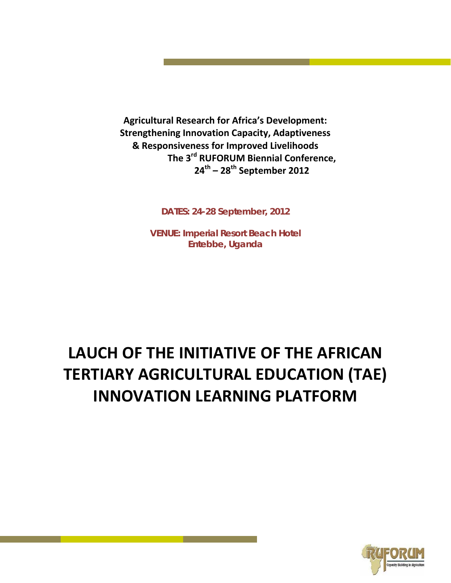**Agricultural Research for Africa's Development: Strengthening Innovation Capacity, Adaptiveness & Responsiveness for Improved Livelihoods The 3rd RUFORUM Biennial Conference, 24th – 28th September 2012**

**DATES: 24-28 September, 2012**

**VENUE: Imperial Resort Beach Hotel Entebbe, Uganda**

# **LAUCH OF THE INITIATIVE OF THE AFRICAN TERTIARY AGRICULTURAL EDUCATION (TAE) INNOVATION LEARNING PLATFORM**

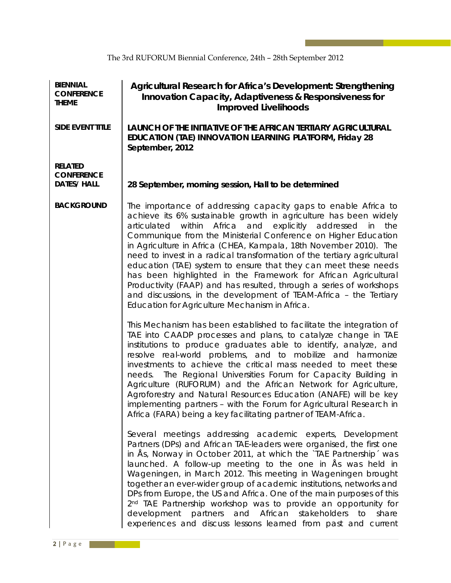| <b>BIENNIAL</b><br><b>CONFERENCE</b><br><b>THEME</b>      | Agricultural Research for Africa's Development: Strengthening<br>Innovation Capacity, Adaptiveness & Responsiveness for<br><b>Improved Livelihoods</b>                                                                                                                                                                                                                                                                                                                                                                                                                                                                                                                                                                                                  |  |  |
|-----------------------------------------------------------|---------------------------------------------------------------------------------------------------------------------------------------------------------------------------------------------------------------------------------------------------------------------------------------------------------------------------------------------------------------------------------------------------------------------------------------------------------------------------------------------------------------------------------------------------------------------------------------------------------------------------------------------------------------------------------------------------------------------------------------------------------|--|--|
| <b>SIDE EVENT TITLE</b>                                   | LAUNCH OF THE INITIATIVE OF THE AFRICAN TERTIARY AGRICULTURAL<br>EDUCATION (TAE) INNOVATION LEARNING PLATFORM, Friday 28<br>September, 2012                                                                                                                                                                                                                                                                                                                                                                                                                                                                                                                                                                                                             |  |  |
| <b>RELATED</b><br><b>CONFERENCE</b><br><b>DATES/ HALL</b> | 28 September, morning session, Hall to be determined                                                                                                                                                                                                                                                                                                                                                                                                                                                                                                                                                                                                                                                                                                    |  |  |
| <b>BACKGROUND</b>                                         | The importance of addressing capacity gaps to enable Africa to<br>achieve its 6% sustainable growth in agriculture has been widely<br>articulated within Africa and explicitly addressed in<br>the<br>Communique from the Ministerial Conference on Higher Education<br>in Agriculture in Africa (CHEA, Kampala, 18th November 2010). The<br>need to invest in a radical transformation of the tertiary agricultural<br>education (TAE) system to ensure that they can meet these needs<br>has been highlighted in the Framework for African Agricultural<br>Productivity (FAAP) and has resulted, through a series of workshops<br>and discussions, in the development of TEAM-Africa - the Tertiary<br>Education for Agriculture Mechanism in Africa. |  |  |
|                                                           | This Mechanism has been established to facilitate the integration of<br>TAE into CAADP processes and plans, to catalyze change in TAE<br>institutions to produce graduates able to identify, analyze, and<br>resolve real-world problems, and to mobilize and harmonize<br>investments to achieve the critical mass needed to meet these<br>needs. The Regional Universities Forum for Capacity Building in<br>Agriculture (RUFORUM) and the African Network for Agriculture,<br>Agroforestry and Natural Resources Education (ANAFE) will be key<br>implementing partners - with the Forum for Agricultural Research in<br>Africa (FARA) being a key facilitating partner of TEAM-Africa.                                                              |  |  |
|                                                           | Several meetings addressing academic experts, Development<br>Partners (DPs) and African TAE-leaders were organised, the first one<br>in Ås, Norway in October 2011, at which the `TAE Partnership´ was<br>launched. A follow-up meeting to the one in As was held in<br>Wageningen, in March 2012. This meeting in Wageningen brought<br>together an ever-wider group of academic institutions, networks and<br>DPs from Europe, the US and Africa. One of the main purposes of this<br>2 <sup>nd</sup> TAE Partnership workshop was to provide an opportunity for<br>development partners and African stakeholders<br>to<br>share<br>experiences and discuss lessons learned from past and current                                                     |  |  |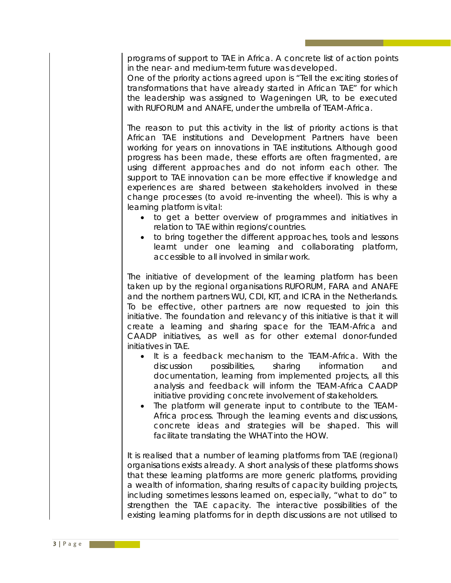programs of support to TAE in Africa. A concrete list of action points in the near- and medium-term future was developed.

One of the priority actions agreed upon is "Tell the exciting stories of transformations that have already started in African TAE" for which the leadership was assigned to Wageningen UR, to be executed with RUFORUM and ANAFE, under the umbrella of TEAM-Africa.

The reason to put this activity in the list of priority actions is that African TAE institutions and Development Partners have been working for years on innovations in TAE institutions. Although good progress has been made, these efforts are often fragmented, are using different approaches and do not inform each other. The support to TAE innovation can be more effective if knowledge and experiences are shared between stakeholders involved in these change processes (to avoid re-inventing the wheel). This is why a learning platform is vital:

- to get a better overview of programmes and initiatives in relation to TAE within regions/countries.
- to bring together the different approaches, tools and lessons learnt under one learning and collaborating platform, accessible to all involved in similar work.

The initiative of development of the learning platform has been taken up by the regional organisations RUFORUM, FARA and ANAFE and the northern partners WU, CDI, KIT, and ICRA in the Netherlands. To be effective, other partners are now requested to join this initiative. The foundation and relevancy of this initiative is that it will create a learning and sharing space for the TEAM-Africa and CAADP initiatives, as well as for other external donor-funded initiatives in TAE.

- It is a feedback mechanism to the TEAM-Africa. With the discussion possibilities, sharing information and documentation, learning from implemented projects, all this analysis and feedback will inform the TEAM-Africa CAADP initiative providing concrete involvement of stakeholders.
- The platform will generate input to contribute to the TEAM-Africa process. Through the learning events and discussions, concrete ideas and strategies will be shaped. This will facilitate translating the WHAT into the HOW.

It is realised that a number of learning platforms from TAE (regional) organisations exists already. A short analysis of these platforms shows that these learning platforms are more generic platforms, providing a wealth of information, sharing results of capacity building projects, including sometimes lessons learned on, especially, "what to do" to strengthen the TAE capacity. The interactive possibilities of the existing learning platforms for in depth discussions are not utilised to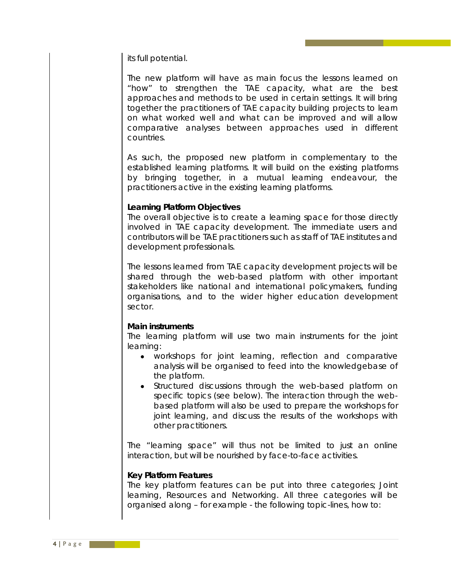its full potential.

The new platform will have as main focus the lessons learned on "how" to strengthen the TAE capacity, what are the best approaches and methods to be used in certain settings. It will bring together the practitioners of TAE capacity building projects to learn on what worked well and what can be improved and will allow comparative analyses between approaches used in different countries.

As such, the proposed new platform in complementary to the established learning platforms. It will build on the existing platforms by bringing together, in a mutual learning endeavour, the practitioners active in the existing learning platforms.

#### **Learning Platform Objectives**

The overall objective is to create a learning space for those directly involved in TAE capacity development. The immediate users and contributors will be TAE practitioners such as staff of TAE institutes and development professionals.

The lessons learned from TAE capacity development projects will be shared through the web-based platform with other important stakeholders like national and international policymakers, funding organisations, and to the wider higher education development sector.

#### **Main instruments**

The learning platform will use two main instruments for the joint learning:

- workshops for joint learning, reflection and comparative analysis will be organised to feed into the knowledgebase of the platform.
- Structured discussions through the web-based platform on specific topics (see below). The interaction through the webbased platform will also be used to prepare the workshops for joint learning, and discuss the results of the workshops with other practitioners.

The "learning space" will thus not be limited to just an online interaction, but will be nourished by face-to-face activities.

#### **Key Platform Features**

The key platform features can be put into three categories; Joint learning, Resources and Networking. All three categories will be organised along – for example - the following topic-lines, how to: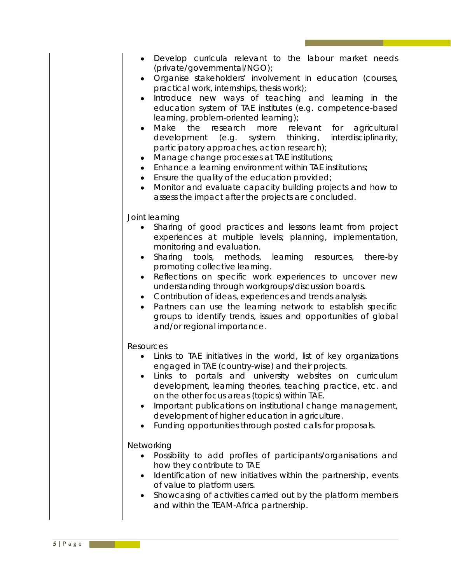- Organise stakeholders' involvement in education (courses, practical work, internships, thesis work);
- Introduce new ways of teaching and learning in the education system of TAE institutes (e.g. competence-based learning, problem-oriented learning);
- Make the research more relevant for agricultural development (e.g. system thinking, interdisciplinarity, participatory approaches, action research);
- Manage change processes at TAE institutions;
- Enhance a learning environment within TAE institutions;
- Ensure the quality of the education provided;
- Monitor and evaluate capacity building projects and how to assess the impact after the projects are concluded.

#### *Joint learning*

- Sharing of good practices and lessons learnt from project experiences at multiple levels; planning, implementation, monitoring and evaluation.
- Sharing tools, methods, learning resources, there-by promoting collective learning.
- Reflections on specific work experiences to uncover new understanding through workgroups/discussion boards.
- Contribution of ideas, experiences and trends analysis.
- Partners can use the learning network to establish specific groups to identify trends, issues and opportunities of global and/or regional importance.

### *Resources*

- Links to TAE initiatives in the world, list of key organizations engaged in TAE (country-wise) and their projects.
- Links to portals and university websites on curriculum development, learning theories, teaching practice, etc. and on the other focus areas (topics) within TAE.
- Important publications on institutional change management, development of higher education in agriculture.
- Funding opportunities through posted calls for proposals.

## *Networking*

- Possibility to add profiles of participants/organisations and how they contribute to TAE
- Identification of new initiatives within the partnership, events of value to platform users.
- Showcasing of activities carried out by the platform members and within the TEAM-Africa partnership.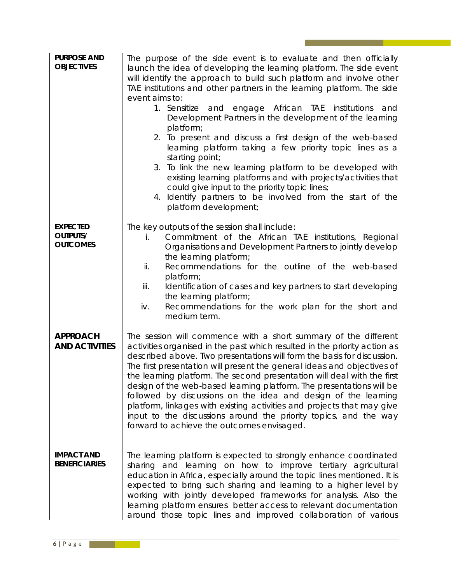| <b>PURPOSE AND</b><br><b>OBJECTIVES</b>               | The purpose of the side event is to evaluate and then officially<br>launch the idea of developing the learning platform. The side event<br>will identify the approach to build such platform and involve other<br>TAE institutions and other partners in the learning platform. The side<br>event aims to:<br>1. Sensitize and engage African TAE institutions<br>and<br>Development Partners in the development of the learning<br>platform;<br>2. To present and discuss a first design of the web-based<br>learning platform taking a few priority topic lines as a<br>starting point;<br>3. To link the new learning platform to be developed with<br>existing learning platforms and with projects/activities that<br>could give input to the priority topic lines;<br>Identify partners to be involved from the start of the<br>4.<br>platform development; |  |
|-------------------------------------------------------|-------------------------------------------------------------------------------------------------------------------------------------------------------------------------------------------------------------------------------------------------------------------------------------------------------------------------------------------------------------------------------------------------------------------------------------------------------------------------------------------------------------------------------------------------------------------------------------------------------------------------------------------------------------------------------------------------------------------------------------------------------------------------------------------------------------------------------------------------------------------|--|
| <b>EXPECTED</b><br><b>OUTPUTS/</b><br><b>OUTCOMES</b> | The key outputs of the session shall include:<br>Commitment of the African TAE institutions, Regional<br>i.<br>Organisations and Development Partners to jointly develop<br>the learning platform;<br>Recommendations for the outline of the web-based<br>ii.<br>platform;<br>Identification of cases and key partners to start developing<br>iii.<br>the learning platform;<br>iv.<br>Recommendations for the work plan for the short and<br>medium term.                                                                                                                                                                                                                                                                                                                                                                                                        |  |
| <b>APPROACH</b><br><b>AND ACTIVITIES</b>              | The session will commence with a short summary of the different<br>activities organised in the past which resulted in the priority action as<br>described above. Two presentations will form the basis for discussion.<br>The first presentation will present the general ideas and objectives of<br>the learning platform. The second presentation will deal with the first<br>design of the web-based learning platform. The presentations will be<br>followed by discussions on the idea and design of the learning<br>platform, linkages with existing activities and projects that may give<br>input to the discussions around the priority topics, and the way<br>forward to achieve the outcomes envisaged.                                                                                                                                                |  |
| <b>IMPACT AND</b><br><b>BENEFICIARIES</b>             | The learning platform is expected to strongly enhance coordinated<br>sharing and learning on how to improve tertiary agricultural<br>education in Africa, especially around the topic lines mentioned. It is<br>expected to bring such sharing and learning to a higher level by<br>working with jointly developed frameworks for analysis. Also the<br>learning platform ensures better access to relevant documentation<br>around those topic lines and improved collaboration of various                                                                                                                                                                                                                                                                                                                                                                       |  |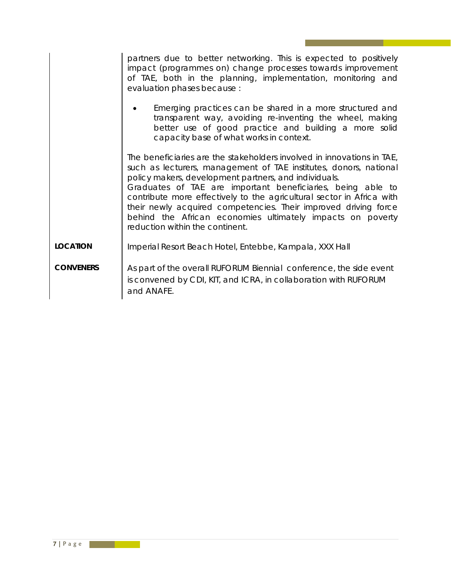|                  | partners due to better networking. This is expected to positively<br>impact (programmes on) change processes towards improvement<br>of TAE, both in the planning, implementation, monitoring and<br>evaluation phases because :<br>Emerging practices can be shared in a more structured and<br>transparent way, avoiding re-inventing the wheel, making<br>better use of good practice and building a more solid<br>capacity base of what works in context.                                                     |  |
|------------------|------------------------------------------------------------------------------------------------------------------------------------------------------------------------------------------------------------------------------------------------------------------------------------------------------------------------------------------------------------------------------------------------------------------------------------------------------------------------------------------------------------------|--|
|                  |                                                                                                                                                                                                                                                                                                                                                                                                                                                                                                                  |  |
|                  | The beneficiaries are the stakeholders involved in innovations in TAE,<br>such as lecturers, management of TAE institutes, donors, national<br>policy makers, development partners, and individuals.<br>Graduates of TAE are important beneficiaries, being able to<br>contribute more effectively to the agricultural sector in Africa with<br>their newly acquired competencies. Their improved driving force<br>behind the African economies ultimately impacts on poverty<br>reduction within the continent. |  |
| <b>LOCATION</b>  | Imperial Resort Beach Hotel, Entebbe, Kampala, XXX Hall                                                                                                                                                                                                                                                                                                                                                                                                                                                          |  |
| <b>CONVENERS</b> | As part of the overall RUFORUM Biennial conference, the side event<br>is convened by CDI, KIT, and ICRA, in collaboration with RUFORUM<br>and ANAFE.                                                                                                                                                                                                                                                                                                                                                             |  |